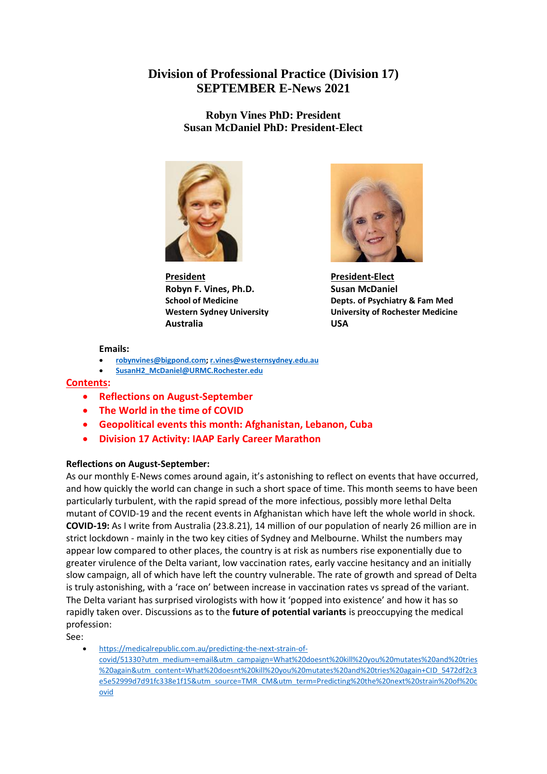# **Division of Professional Practice (Division 17) SEPTEMBER E-News 2021**

**Robyn Vines PhD: President Susan McDaniel PhD: President-Elect**



**President President-Elect Robyn F. Vines, Ph.D.** Susan McDaniel **Australia USA**



**School of Medicine Depts. of Psychiatry & Fam Med Western Sydney University University of Rochester Medicine**

#### **Emails:**

- **[robynvines@bigpond.com;](mailto:robynvines@bigpond.com) [r.vines@westernsydney.edu.au](mailto:r.vines@westernsydney.edu.au)**
- **[SusanH2\\_McDaniel@URMC.Rochester.edu](mailto:SusanH2_McDaniel@URMC.Rochester.edu)**

#### **Contents:**

- **Reflections on August-September**
- **The World in the time of COVID**
- **Geopolitical events this month: Afghanistan, Lebanon, Cuba**
- **Division 17 Activity: IAAP Early Career Marathon**

#### **Reflections on August-September:**

As our monthly E-News comes around again, it's astonishing to reflect on events that have occurred, and how quickly the world can change in such a short space of time. This month seems to have been particularly turbulent, with the rapid spread of the more infectious, possibly more lethal Delta mutant of COVID-19 and the recent events in Afghanistan which have left the whole world in shock. **COVID-19:** As I write from Australia (23.8.21), 14 million of our population of nearly 26 million are in strict lockdown - mainly in the two key cities of Sydney and Melbourne. Whilst the numbers may appear low compared to other places, the country is at risk as numbers rise exponentially due to greater virulence of the Delta variant, low vaccination rates, early vaccine hesitancy and an initially slow campaign, all of which have left the country vulnerable. The rate of growth and spread of Delta is truly astonishing, with a 'race on' between increase in vaccination rates vs spread of the variant. The Delta variant has surprised virologists with how it 'popped into existence' and how it has so rapidly taken over. Discussions as to the **future of potential variants** is preoccupying the medical profession:

See:

• [https://medicalrepublic.com.au/predicting-the-next-strain-of](https://medicalrepublic.com.au/predicting-the-next-strain-of-covid/51330?utm_medium=email&utm_campaign=What%20doesnt%20kill%20you%20mutates%20and%20tries%20again&utm_content=What%20doesnt%20kill%20you%20mutates%20and%20tries%20again+CID_5472df2c3e5e52999d7d91fc338e1f15&utm_source=TMR_CM&utm_term=Predicting%20the%20next%20strain%20of%20covid)[covid/51330?utm\\_medium=email&utm\\_campaign=What%20doesnt%20kill%20you%20mutates%20and%20tries](https://medicalrepublic.com.au/predicting-the-next-strain-of-covid/51330?utm_medium=email&utm_campaign=What%20doesnt%20kill%20you%20mutates%20and%20tries%20again&utm_content=What%20doesnt%20kill%20you%20mutates%20and%20tries%20again+CID_5472df2c3e5e52999d7d91fc338e1f15&utm_source=TMR_CM&utm_term=Predicting%20the%20next%20strain%20of%20covid) [%20again&utm\\_content=What%20doesnt%20kill%20you%20mutates%20and%20tries%20again+CID\\_5472df2c3](https://medicalrepublic.com.au/predicting-the-next-strain-of-covid/51330?utm_medium=email&utm_campaign=What%20doesnt%20kill%20you%20mutates%20and%20tries%20again&utm_content=What%20doesnt%20kill%20you%20mutates%20and%20tries%20again+CID_5472df2c3e5e52999d7d91fc338e1f15&utm_source=TMR_CM&utm_term=Predicting%20the%20next%20strain%20of%20covid) [e5e52999d7d91fc338e1f15&utm\\_source=TMR\\_CM&utm\\_term=Predicting%20the%20next%20strain%20of%20c](https://medicalrepublic.com.au/predicting-the-next-strain-of-covid/51330?utm_medium=email&utm_campaign=What%20doesnt%20kill%20you%20mutates%20and%20tries%20again&utm_content=What%20doesnt%20kill%20you%20mutates%20and%20tries%20again+CID_5472df2c3e5e52999d7d91fc338e1f15&utm_source=TMR_CM&utm_term=Predicting%20the%20next%20strain%20of%20covid) [ovid](https://medicalrepublic.com.au/predicting-the-next-strain-of-covid/51330?utm_medium=email&utm_campaign=What%20doesnt%20kill%20you%20mutates%20and%20tries%20again&utm_content=What%20doesnt%20kill%20you%20mutates%20and%20tries%20again+CID_5472df2c3e5e52999d7d91fc338e1f15&utm_source=TMR_CM&utm_term=Predicting%20the%20next%20strain%20of%20covid)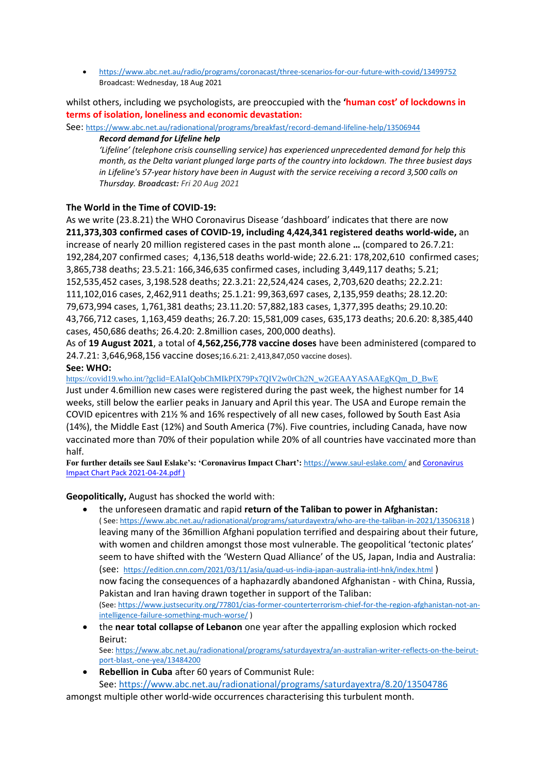• <https://www.abc.net.au/radio/programs/coronacast/three-scenarios-for-our-future-with-covid/13499752> Broadcast: Wednesday, 18 Aug 2021

whilst others, including we psychologists, are preoccupied with the **'human cost' of lockdowns in terms of isolation, loneliness and economic devastation:**

See: <https://www.abc.net.au/radionational/programs/breakfast/record-demand-lifeline-help/13506944>

#### *Record demand for Lifeline help*

*'Lifeline' (telephone crisis counselling service) has experienced unprecedented demand for help this month, as the Delta variant plunged large parts of the country into lockdown. The three busiest days in Lifeline's 57-year history have been in August with the service receiving a record 3,500 calls on Thursday. Broadcast: Fri 20 Aug 2021*

## **The World in the Time of COVID-19:**

As we write (23.8.21) the [WHO Coronavirus Disease 'dashboard'](https://covid19.who.int/) indicates that there are now **211,373,303 confirmed cases of COVID-19, including 4,424,341 registered deaths world-wide,** an increase of nearly 20 million registered cases in the past month alone **…** (compared to 26.7.21: 192,284,207 confirmed cases; 4,136,518 deaths world-wide; 22.6.21: 178,202,610 confirmed cases; 3,865,738 deaths; 23.5.21: 166,346,635 confirmed cases, including 3,449,117 deaths; 5.21; 152,535,452 cases, 3,198.528 deaths; 22.3.21: 22,524,424 cases, 2,703,620 deaths; 22.2.21: 111,102,016 cases, 2,462,911 deaths; 25.1.21: 99,363,697 cases, 2,135,959 deaths; 28.12.20: 79,673,994 cases, 1,761,381 deaths; 23.11.20: 57,882,183 cases, 1,377,395 deaths; 29.10.20: 43,766,712 cases, 1,163,459 deaths; 26.7.20: 15,581,009 cases, 635,173 deaths; 20.6.20: 8,385,440 cases, 450,686 deaths; 26.4.20: 2.8million cases, 200,000 deaths).

As of **19 August 2021**, a total of **4,562,256,778 vaccine doses** have been administered (compared to 24.7.21: 3,646,968,156 vaccine doses;16.6.21: 2,413,847,050 vaccine doses).

## **See: WHO:**

[https://covid19.who.int/?gclid=EAIaIQobChMIkPfX79Px7QIV2w0rCh2N\\_w2GEAAYASAAEgKQm\\_D\\_BwE](https://covid19.who.int/?gclid=EAIaIQobChMIkPfX79Px7QIV2w0rCh2N_w2GEAAYASAAEgKQm_D_BwE)

Just under 4.6million new cases were registered during the past week, the highest number for 14 weeks, still below the earlier peaks in January and April this year. The USA and Europe remain the COVID epicentres with 21½ % and 16% respectively of all new cases, followed by South East Asia (14%), the Middle East (12%) and South America (7%). Five countries, including Canada, have now vaccinated more than 70% of their population while 20% of all countries have vaccinated more than half.

**For further details see Saul Eslake's: 'Coronavirus Impact Chart':** <https://www.saul-eslake.com/> an[d Coronavirus](file:///C:/Users/61477/AppData/Local/Microsoft/Windows/INetCache/Content.Outlook/MBGWFIBC/Coronavirus%20Impact%20Chart%20Pack%202021-04-24.pdf)  [Impact Chart Pack 2021-04-24.pdf](file:///C:/Users/61477/AppData/Local/Microsoft/Windows/INetCache/Content.Outlook/MBGWFIBC/Coronavirus%20Impact%20Chart%20Pack%202021-04-24.pdf) )

**Geopolitically,** August has shocked the world with:

- the unforeseen dramatic and rapid **return of the Taliban to power in Afghanistan:** ( See[: https://www.abc.net.au/radionational/programs/saturdayextra/who-are-the-taliban-in-2021/13506318](https://www.abc.net.au/radionational/programs/saturdayextra/who-are-the-taliban-in-2021/13506318) ) leaving many of the 36million Afghani population terrified and despairing about their future, with women and children amongst those most vulnerable. The geopolitical 'tectonic plates' seem to have shifted with the 'Western Quad Alliance' of the US, Japan, India and Australia: (see: <https://edition.cnn.com/2021/03/11/asia/quad-us-india-japan-australia-intl-hnk/index.html> ) now facing the consequences of a haphazardly abandoned Afghanistan - with China, Russia, Pakistan and Iran having drawn together in support of the Taliban: (See[: https://www.justsecurity.org/77801/cias-former-counterterrorism-chief-for-the-region-afghanistan-not-an](https://www.justsecurity.org/77801/cias-former-counterterrorism-chief-for-the-region-afghanistan-not-an-intelligence-failure-something-much-worse/)[intelligence-failure-something-much-worse/](https://www.justsecurity.org/77801/cias-former-counterterrorism-chief-for-the-region-afghanistan-not-an-intelligence-failure-something-much-worse/) )
- the **near total collapse of Lebanon** one year after the appalling explosion which rocked Beirut: See[: https://www.abc.net.au/radionational/programs/saturdayextra/an-australian-writer-reflects-on-the-beirut](https://www.abc.net.au/radionational/programs/saturdayextra/an-australian-writer-reflects-on-the-beirut-port-blast,-one-yea/13484200)[port-blast,-one-yea/13484200](https://www.abc.net.au/radionational/programs/saturdayextra/an-australian-writer-reflects-on-the-beirut-port-blast,-one-yea/13484200)
- **Rebellion in Cuba** after 60 years of Communist Rule: See:<https://www.abc.net.au/radionational/programs/saturdayextra/8.20/13504786>

amongst multiple other world-wide occurrences characterising this turbulent month.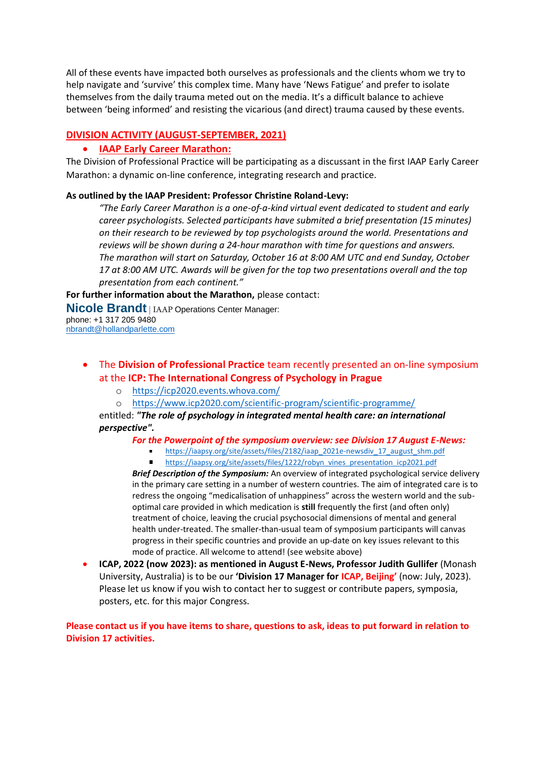All of these events have impacted both ourselves as professionals and the clients whom we try to help navigate and 'survive' this complex time. Many have 'News Fatigue' and prefer to isolate themselves from the daily trauma meted out on the media. It's a difficult balance to achieve between 'being informed' and resisting the vicarious (and direct) trauma caused by these events.

## **DIVISION ACTIVITY (AUGUST-SEPTEMBER, 2021)**

## • **IAAP Early Career Marathon:**

The Division of Professional Practice will be participating as a discussant in the first IAAP Early Career Marathon: a dynamic on-line conference, integrating research and practice.

#### **As outlined by the IAAP President: Professor Christine Roland-Levy:**

*"The Early Career Marathon is a one-of-a-kind virtual event dedicated to student and early career psychologists. Selected participants have submited a brief presentation (15 minutes) on their research to be reviewed by top psychologists around the world. Presentations and reviews will be shown during a 24-hour marathon with time for questions and answers. The marathon will start on Saturday, October 16 at 8:00 AM UTC and end Sunday, October 17 at 8:00 AM UTC. Awards will be given for the top two presentations overall and the top presentation from each continent."*

**For further information about the Marathon,** please contact:

**Nicole Brandt** <sup>|</sup> IAAP Operations Center Manager:

phone: +1 317 205 9480 [nbrandt@hollandparlette.com](mailto:nbrandt@hollandparlette.com)

# • The **Division of Professional Practice** team recently presented an on-line symposium at the **ICP: The International Congress of Psychology in Prague**

- o <https://icp2020.events.whova.com/>
- o <https://www.icp2020.com/scientific-program/scientific-programme/>

entitled: *"The role of psychology in integrated mental health care: an international perspective".* 

- *For the Powerpoint of the symposium overview: see Division 17 August E-News:*
	- [https://iaapsy.org/site/assets/files/2182/iaap\\_2021e-newsdiv\\_17\\_august\\_shm.pdf](https://iaapsy.org/site/assets/files/2182/iaap_2021e-newsdiv_17_august_shm.pdf)
	- $\blacksquare$ [https://iaapsy.org/site/assets/files/1222/robyn\\_vines\\_presentation\\_icp2021.pdf](https://iaapsy.org/site/assets/files/1222/robyn_vines_presentation_icp2021.pdf)

*Brief Description of the Symposium:* An overview of integrated psychological service delivery in the primary care setting in a number of western countries. The aim of integrated care is to redress the ongoing "medicalisation of unhappiness" across the western world and the suboptimal care provided in which medication is **still** frequently the first (and often only) treatment of choice, leaving the crucial psychosocial dimensions of mental and general health under-treated. The smaller-than-usual team of symposium participants will canvas progress in their specific countries and provide an up-date on key issues relevant to this mode of practice. All welcome to attend! (see website above)

• **ICAP, 2022 (now 2023): as mentioned in August E-News, Professor Judith Gullifer** (Monash University, Australia) is to be our **'Division 17 Manager for ICAP, Beijing'** (now: July, 2023). Please let us know if you wish to contact her to suggest or contribute papers, symposia, posters, etc. for this major Congress.

**Please contact us if you have items to share, questions to ask, ideas to put forward in relation to Division 17 activities.**